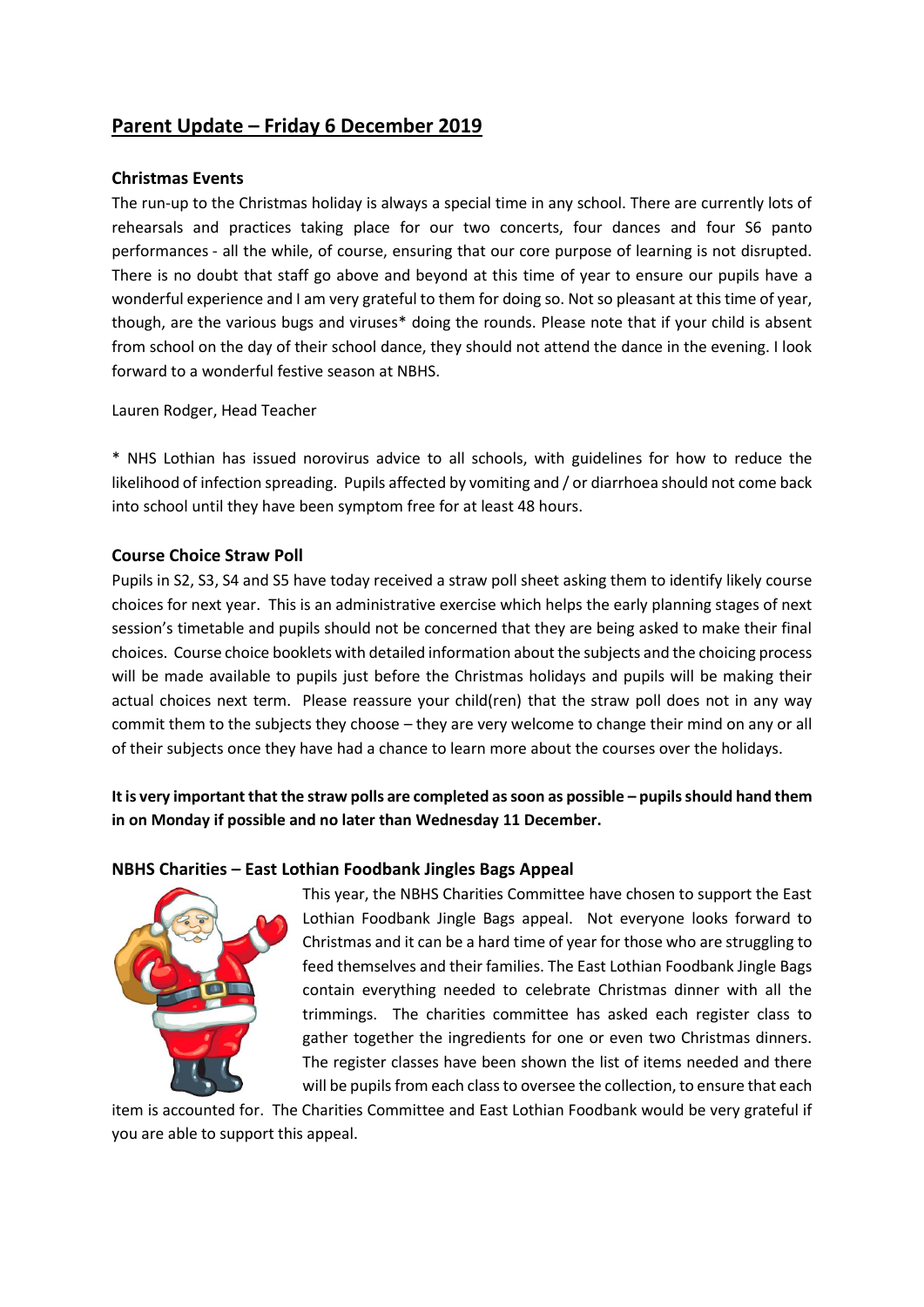# **Parent Update – Friday 6 December 2019**

### **Christmas Events**

The run-up to the Christmas holiday is always a special time in any school. There are currently lots of rehearsals and practices taking place for our two concerts, four dances and four S6 panto performances - all the while, of course, ensuring that our core purpose of learning is not disrupted. There is no doubt that staff go above and beyond at this time of year to ensure our pupils have a wonderful experience and I am very grateful to them for doing so. Not so pleasant at this time of year, though, are the various bugs and viruses\* doing the rounds. Please note that if your child is absent from school on the day of their school dance, they should not attend the dance in the evening. I look forward to a wonderful festive season at NBHS.

Lauren Rodger, Head Teacher

\* NHS Lothian has issued norovirus advice to all schools, with guidelines for how to reduce the likelihood of infection spreading. Pupils affected by vomiting and / or diarrhoea should not come back into school until they have been symptom free for at least 48 hours.

### **Course Choice Straw Poll**

Pupils in S2, S3, S4 and S5 have today received a straw poll sheet asking them to identify likely course choices for next year. This is an administrative exercise which helps the early planning stages of next session's timetable and pupils should not be concerned that they are being asked to make their final choices. Course choice booklets with detailed information about the subjects and the choicing process will be made available to pupils just before the Christmas holidays and pupils will be making their actual choices next term. Please reassure your child(ren) that the straw poll does not in any way commit them to the subjects they choose – they are very welcome to change their mind on any or all of their subjects once they have had a chance to learn more about the courses over the holidays.

**It is very important that the straw polls are completed as soon as possible – pupils should hand them in on Monday if possible and no later than Wednesday 11 December.**

### **NBHS Charities – East Lothian Foodbank Jingles Bags Appeal**



This year, the NBHS Charities Committee have chosen to support the East Lothian Foodbank Jingle Bags appeal. Not everyone looks forward to Christmas and it can be a hard time of year for those who are struggling to feed themselves and their families. The East Lothian Foodbank Jingle Bags contain everything needed to celebrate Christmas dinner with all the trimmings. The charities committee has asked each register class to gather together the ingredients for one or even two Christmas dinners. The register classes have been shown the list of items needed and there will be pupils from each class to oversee the collection, to ensure that each

item is accounted for. The Charities Committee and East Lothian Foodbank would be very grateful if you are able to support this appeal.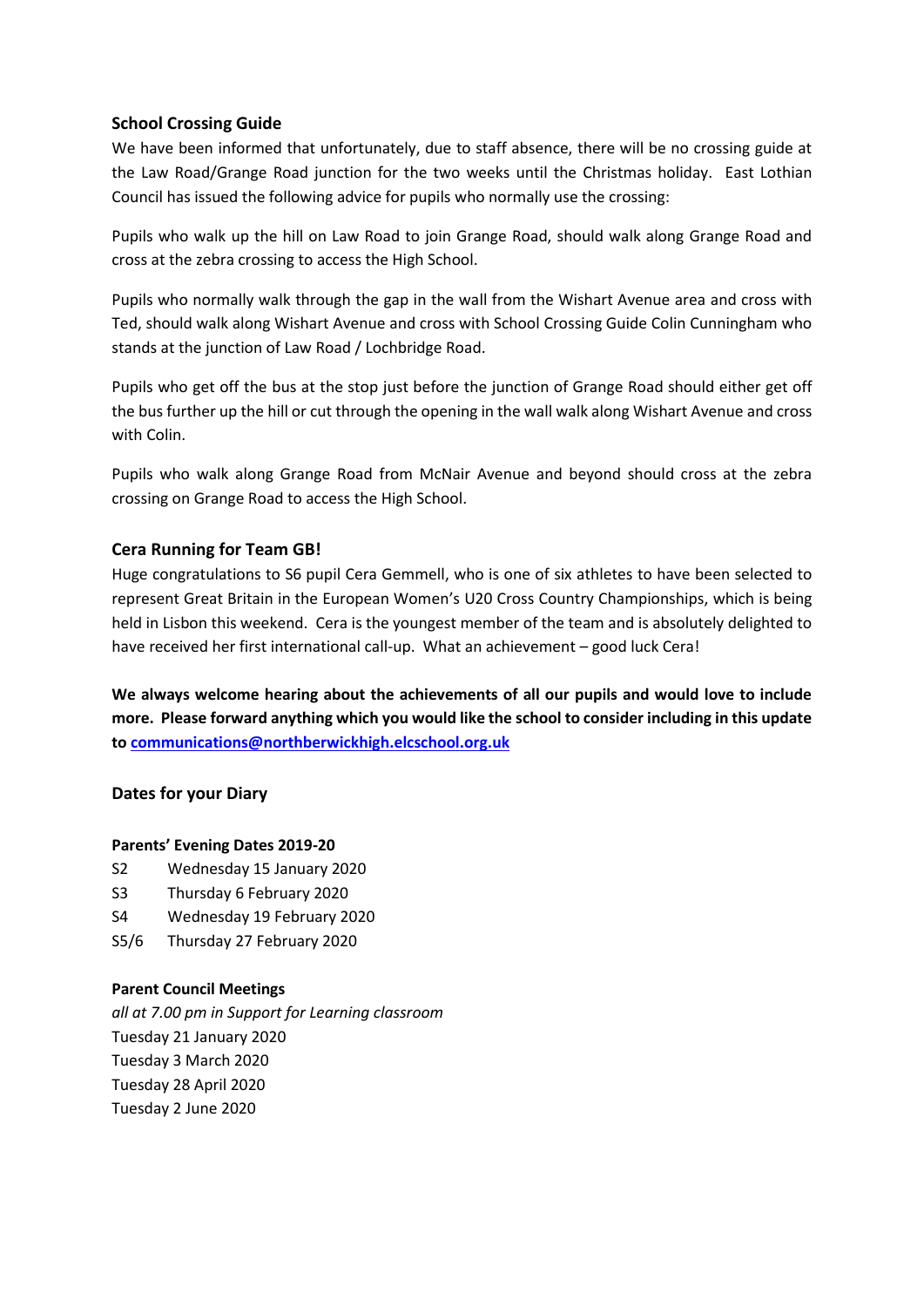### **School Crossing Guide**

We have been informed that unfortunately, due to staff absence, there will be no crossing guide at the Law Road/Grange Road junction for the two weeks until the Christmas holiday. East Lothian Council has issued the following advice for pupils who normally use the crossing:

Pupils who walk up the hill on Law Road to join Grange Road, should walk along Grange Road and cross at the zebra crossing to access the High School.

Pupils who normally walk through the gap in the wall from the Wishart Avenue area and cross with Ted, should walk along Wishart Avenue and cross with School Crossing Guide Colin Cunningham who stands at the junction of Law Road / Lochbridge Road.

Pupils who get off the bus at the stop just before the junction of Grange Road should either get off the bus further up the hill or cut through the opening in the wall walk along Wishart Avenue and cross with Colin.

Pupils who walk along Grange Road from McNair Avenue and beyond should cross at the zebra crossing on Grange Road to access the High School.

# **Cera Running for Team GB!**

Huge congratulations to S6 pupil Cera Gemmell, who is one of six athletes to have been selected to represent Great Britain in the European Women's U20 Cross Country Championships, which is being held in Lisbon this weekend. Cera is the youngest member of the team and is absolutely delighted to have received her first international call-up. What an achievement – good luck Cera!

**We always welcome hearing about the achievements of all our pupils and would love to include more. Please forward anything which you would like the school to consider including in this update to [communications@northberwickhigh.elcschool.org.uk](mailto:communications@northberwickhigh.elcschool.org.uk)**

### **Dates for your Diary**

### **Parents' Evening Dates 2019-20**

- S2 Wednesday 15 January 2020
- S3 Thursday 6 February 2020
- S4 Wednesday 19 February 2020
- S5/6 Thursday 27 February 2020

#### **Parent Council Meetings**

*all at 7.00 pm in Support for Learning classroom*  Tuesday 21 January 2020 Tuesday 3 March 2020 Tuesday 28 April 2020 Tuesday 2 June 2020